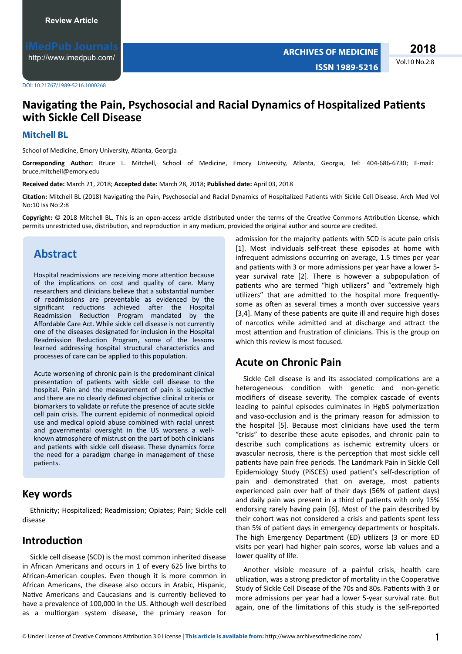http://www.imedpub.com/

DOI: 10.21767/1989-5216.1000268

# Navigating the Pain, Psychosocial and Racial Dynamics of Hospitalized Patients with Sickle Cell Disease

#### **Mitchell BL**

School of Medicine, Emory University, Atlanta, Georgia

Corresponding Author: Bruce L. Mitchell, School of Medicine, Emory University, Atlanta, Georgia, Tel: 404-686-6730; E-mail: bruce.mitchell@emory.edu

Received date: March 21, 2018; Accepted date: March 28, 2018; Published date: April 03, 2018

Citation: Mitchell BL (2018) Navigating the Pain, Psychosocial and Racial Dynamics of Hospitalized Patients with Sickle Cell Disease. Arch Med Vol No:10 Iss No:2:8

Copyright: © 2018 Mitchell BL. This is an open-access article distributed under the terms of the Creative Commons Attribution License, which permits unrestricted use, distribution, and reproduction in any medium, provided the original author and source are credited.

### **Abstract**

Hospital readmissions are receiving more attention because of the implications on cost and quality of care. Many researchers and clinicians believe that a substantial number of readmissions are preventable as evidenced by the significant reductions achieved after the Hospital Readmission Reduction Program mandated by the Affordable Care Act. While sickle cell disease is not currently one of the diseases designated for inclusion in the Hospital Readmission Reduction Program, some of the lessons learned addressing hospital structural characteristics and processes of care can be applied to this population.

Acute worsening of chronic pain is the predominant clinical presentation of patients with sickle cell disease to the hospital. Pain and the measurement of pain is subjective and there are no clearly defined objective clinical criteria or biomarkers to validate or refute the presence of acute sickle cell pain crisis. The current epidemic of nonmedical opioid use and medical opioid abuse combined with racial unrest and governmental oversight in the US worsens a wellknown atmosphere of mistrust on the part of both clinicians and patients with sickle cell disease. These dynamics force the need for a paradigm change in management of these patients.

### **Key words**

Ethnicity; Hospitalized; Readmission; Opiates; Pain; Sickle cell disease

#### Introduction

Sickle cell disease (SCD) is the most common inherited disease in African Americans and occurs in 1 of every 625 live births to African-American couples. Even though it is more common in African Americans, the disease also occurs in Arabic, Hispanic, Native Americans and Caucasians and is currently believed to have a prevalence of 100,000 in the US. Although well described as a multiorgan system disease, the primary reason for admission for the majority patients with SCD is acute pain crisis [1]. Most individuals self-treat these episodes at home with infrequent admissions occurring on average, 1.5 times per year and patients with 3 or more admissions per year have a lower 5year survival rate [2]. There is however a subpopulation of patients who are termed "high utilizers" and "extremely high utilizers" that are admitted to the hospital more frequentlysome as often as several times a month over successive years [3,4]. Many of these patients are quite ill and require high doses of narcotics while admitted and at discharge and attract the most attention and frustration of clinicians. This is the group on which this review is most focused.

### **Acute on Chronic Pain**

Sickle Cell disease is and its associated complications are a heterogeneous condition with genetic and non-genetic modifiers of disease severity. The complex cascade of events leading to painful episodes culminates in HgbS polymerization and vaso-occlusion and is the primary reason for admission to the hospital [5]. Because most clinicians have used the term "crisis" to describe these acute episodes, and chronic pain to describe such complications as ischemic extremity ulcers or avascular necrosis, there is the perception that most sickle cell patients have pain free periods. The Landmark Pain in Sickle Cell Epidemiology Study (PiSCES) used patient's self-description of pain and demonstrated that on average, most patients experienced pain over half of their days (56% of patient days) and daily pain was present in a third of patients with only 15% endorsing rarely having pain [6]. Most of the pain described by their cohort was not considered a crisis and patients spent less than 5% of patient days in emergency departments or hospitals. The high Emergency Department (ED) utilizers (3 or more ED visits per year) had higher pain scores, worse lab values and a lower quality of life.

Another visible measure of a painful crisis, health care utilization, was a strong predictor of mortality in the Cooperative Study of Sickle Cell Disease of the 70s and 80s. Patients with 3 or more admissions per year had a lower 5-year survival rate. But again, one of the limitations of this study is the self-reported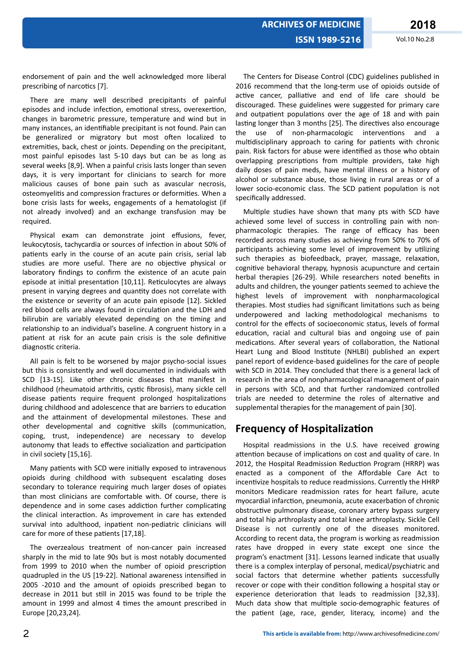endorsement of pain and the well acknowledged more liberal prescribing of narcotics [7].

There are many well described precipitants of painful episodes and include infection, emotional stress, overexertion, changes in barometric pressure, temperature and wind but in many instances, an identifiable precipitant is not found. Pain can be generalized or migratory but most often localized to extremities, back, chest or joints. Depending on the precipitant, most painful episodes last 5-10 days but can be as long as several weeks [8,9]. When a painful crisis lasts longer than seven days, it is very important for clinicians to search for more malicious causes of bone pain such as avascular necrosis, osteomyelitis and compression fractures or deformities. When a bone crisis lasts for weeks, engagements of a hematologist (if not already involved) and an exchange transfusion may be required.

Physical exam can demonstrate joint effusions, fever, leukocytosis, tachycardia or sources of infection in about 50% of patients early in the course of an acute pain crisis, serial lab studies are more useful. There are no objective physical or laboratory findings to confirm the existence of an acute pain episode at initial presentation [10,11]. Reticulocytes are always present in varying degrees and quantity does not correlate with the existence or severity of an acute pain episode [12]. Sickled red blood cells are always found in circulation and the LDH and bilirubin are variably elevated depending on the timing and relationship to an individual's baseline. A congruent history in a patient at risk for an acute pain crisis is the sole definitive diagnostic criteria.

All pain is felt to be worsened by major psycho-social issues but this is consistently and well documented in individuals with SCD [13-15]. Like other chronic diseases that manifest in childhood (rheumatoid arthritis, cystic fibrosis), many sickle cell disease patients require frequent prolonged hospitalizations during childhood and adolescence that are barriers to education and the attainment of developmental milestones. These and other developmental and cognitive skills (communication, coping, trust, independence) are necessary to develop autonomy that leads to effective socialization and participation in civil society [15,16].

Many patients with SCD were initially exposed to intravenous opioids during childhood with subsequent escalating doses secondary to tolerance requiring much larger doses of opiates than most clinicians are comfortable with. Of course, there is dependence and in some cases addiction further complicating the clinical interaction. As improvement in care has extended survival into adulthood, inpatient non-pediatric clinicians will care for more of these patients [17,18].

The overzealous treatment of non-cancer pain increased sharply in the mid to late 90s but is most notably documented from 1999 to 2010 when the number of opioid prescription quadrupled in the US [19-22]. National awareness intensified in 2005 -2010 and the amount of opioids prescribed began to decrease in 2011 but still in 2015 was found to be triple the amount in 1999 and almost 4 times the amount prescribed in Europe [20,23,24].

The Centers for Disease Control (CDC) guidelines published in 2016 recommend that the long-term use of opioids outside of active cancer, palliative and end of life care should be discouraged. These guidelines were suggested for primary care and outpatient populations over the age of 18 and with pain lasting longer than 3 months [25]. The directives also encourage the use of non-pharmacologic interventions and a multidisciplinary approach to caring for patients with chronic pain. Risk factors for abuse were identified as those who obtain overlapping prescriptions from multiple providers, take high daily doses of pain meds, have mental illness or a history of alcohol or substance abuse, those living in rural areas or of a lower socio-economic class. The SCD patient population is not specifically addressed.

Multiple studies have shown that many pts with SCD have achieved some level of success in controlling pain with nonpharmacologic therapies. The range of efficacy has been recorded across many studies as achieving from 50% to 70% of participants achieving some level of improvement by utilizing such therapies as biofeedback, prayer, massage, relaxation, cognitive behavioral therapy, hypnosis acupuncture and certain herbal therapies [26-29]. While researchers noted benefits in adults and children, the younger patients seemed to achieve the highest levels of improvement with nonpharmacological therapies. Most studies had significant limitations such as being underpowered and lacking methodological mechanisms to control for the effects of socioeconomic status, levels of formal education, racial and cultural bias and ongoing use of pain medications. After several years of collaboration, the National Heart Lung and Blood Institute (NHLBI) published an expert panel report of evidence-based guidelines for the care of people with SCD in 2014. They concluded that there is a general lack of research in the area of nonpharmacological management of pain in persons with SCD, and that further randomized controlled trials are needed to determine the roles of alternative and supplemental therapies for the management of pain [30].

# **Frequency of Hospitalization**

Hospital readmissions in the U.S. have received growing attention because of implications on cost and quality of care. In 2012, the Hospital Readmission Reduction Program (HRRP) was enacted as a component of the Affordable Care Act to incentivize hospitals to reduce readmissions. Currently the HHRP monitors Medicare readmission rates for heart failure, acute myocardial infarction, pneumonia, acute exacerbation of chronic obstructive pulmonary disease, coronary artery bypass surgery and total hip arthroplasty and total knee arthroplasty. Sickle Cell Disease is not currently one of the diseases monitored. According to recent data, the program is working as readmission rates have dropped in every state except one since the program's enactment [31]. Lessons learned indicate that usually there is a complex interplay of personal, medical/psychiatric and social factors that determine whether patients successfully recover or cope with their condition following a hospital stay or experience deterioration that leads to readmission [32,33]. Much data show that multiple socio-demographic features of the patient (age, race, gender, literacy, income) and the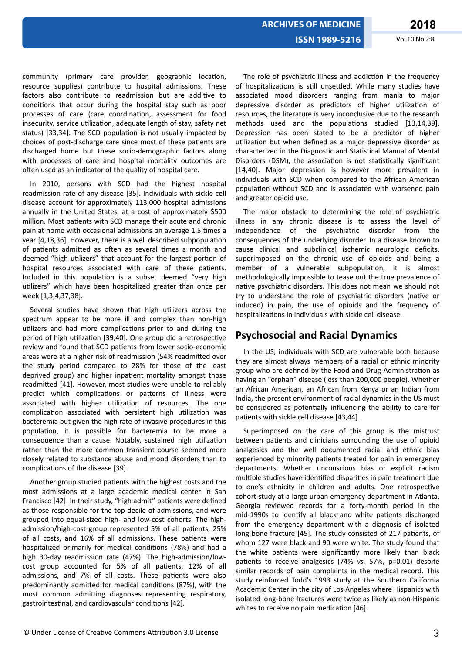community (primary care provider, geographic location, resource supplies) contribute to hospital admissions. These factors also contribute to readmission but are additive to conditions that occur during the hospital stay such as poor processes of care (care coordination, assessment for food insecurity, service utilization, adequate length of stay, safety net status) [33,34]. The SCD population is not usually impacted by choices of post-discharge care since most of these patients are discharged home but these socio-demographic factors along with processes of care and hospital mortality outcomes are often used as an indicator of the quality of hospital care.

In 2010, persons with SCD had the highest hospital readmission rate of any disease [35]. Individuals with sickle cell disease account for approximately 113,000 hospital admissions annually in the United States, at a cost of approximately \$500 million. Most patients with SCD manage their acute and chronic pain at home with occasional admissions on average 1.5 times a year [4,18,36]. However, there is a well described subpopulation of patients admitted as often as several times a month and deemed "high utilizers" that account for the largest portion of hospital resources associated with care of these patients. Included in this population is a subset deemed "very high utilizers" which have been hospitalized greater than once per week [1,3,4,37,38].

Several studies have shown that high utilizers across the spectrum appear to be more ill and complex than non-high utilizers and had more complications prior to and during the period of high utilization [39,40]. One group did a retrospective review and found that SCD patients from lower socio-economic areas were at a higher risk of readmission (54% readmitted over the study period compared to 28% for those of the least deprived group) and higher inpatient mortality amongst those readmitted [41]. However, most studies were unable to reliably predict which complications or patterns of illness were associated with higher utilization of resources. The one complication associated with persistent high utilization was bacteremia but given the high rate of invasive procedures in this population, it is possible for bacteremia to be more a consequence than a cause. Notably, sustained high utilization rather than the more common transient course seemed more closely related to substance abuse and mood disorders than to complications of the disease [39].

Another group studied patients with the highest costs and the most admissions at a large academic medical center in San Francisco [42]. In their study, "high admit" patients were defined as those responsible for the top decile of admissions, and were grouped into equal-sized high- and low-cost cohorts. The highadmission/high-cost group represented 5% of all patients, 25% of all costs, and 16% of all admissions. These patients were hospitalized primarily for medical conditions (78%) and had a high 30-day readmission rate (47%). The high-admission/lowcost group accounted for 5% of all patients, 12% of all admissions, and 7% of all costs. These patients were also predominantly admitted for medical conditions (87%), with the most common admitting diagnoses representing respiratory, gastrointestinal, and cardiovascular conditions [42].

The role of psychiatric illness and addiction in the frequency of hospitalizations is still unsettled. While many studies have associated mood disorders ranging from mania to major depressive disorder as predictors of higher utilization of resources, the literature is very inconclusive due to the research methods used and the populations studied [13,14,39]. Depression has been stated to be a predictor of higher utilization but when defined as a major depressive disorder as characterized in the Diagnostic and Statistical Manual of Mental Disorders (DSM), the association is not statistically significant [14,40]. Major depression is however more prevalent in individuals with SCD when compared to the African American population without SCD and is associated with worsened pain and greater opioid use.

The major obstacle to determining the role of psychiatric illness in any chronic disease is to assess the level of independence of the psychiatric disorder from the consequences of the underlying disorder. In a disease known to cause clinical and subclinical ischemic neurologic deficits, superimposed on the chronic use of opioids and being a member of a vulnerable subpopulation, it is almost methodologically impossible to tease out the true prevalence of native psychiatric disorders. This does not mean we should not try to understand the role of psychiatric disorders (native or induced) in pain, the use of opioids and the frequency of hospitalizations in individuals with sickle cell disease.

# **Psychosocial and Racial Dynamics**

In the US, individuals with SCD are vulnerable both because they are almost always members of a racial or ethnic minority group who are defined by the Food and Drug Administration as having an "orphan" disease (less than 200,000 people). Whether an African American, an African from Kenya or an Indian from India, the present environment of racial dynamics in the US must be considered as potentially influencing the ability to care for patients with sickle cell disease [43,44].

Superimposed on the care of this group is the mistrust between patients and clinicians surrounding the use of opioid analgesics and the well documented racial and ethnic bias experienced by minority patients treated for pain in emergency departments. Whether unconscious bias or explicit racism multiple studies have identified disparities in pain treatment due to one's ethnicity in children and adults. One retrospective cohort study at a large urban emergency department in Atlanta, Georgia reviewed records for a forty-month period in the mid-1990s to identify all black and white patients discharged from the emergency department with a diagnosis of isolated long bone fracture [45]. The study consisted of 217 patients, of whom 127 were black and 90 were white. The study found that the white patients were significantly more likely than black patients to receive analgesics (74% *vs.* 57%, p=0.01) despite similar records of pain complaints in the medical record. This study reinforced Todd's 1993 study at the Southern California Academic Center in the city of Los Angeles where Hispanics with isolated long-bone fractures were twice as likely as non-Hispanic whites to receive no pain medication [46].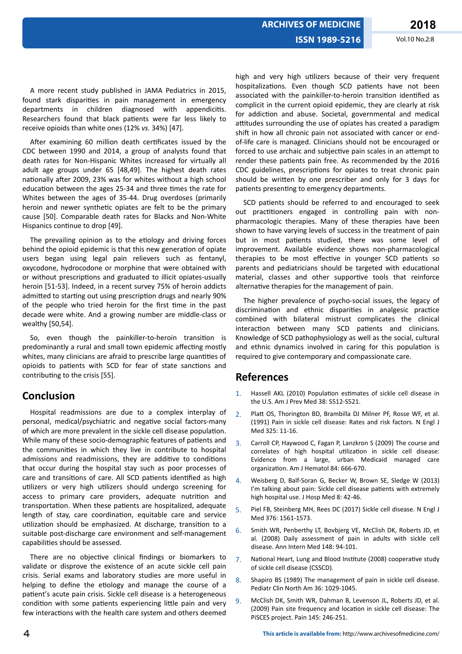A more recent study published in JAMA Pediatrics in 2015, found stark disparities in pain management in emergency departments in children diagnosed with appendicitis. Researchers found that black patients were far less likely to receive opioids than white ones (12% *vs.* 34%) [47].

After examining 60 million death certificates issued by the CDC between 1990 and 2014, a group of analysts found that death rates for Non-Hispanic Whites increased for virtually all adult age groups under 65 [48,49]. The highest death rates nationally after 2009, 23% was for whites without a high school education between the ages 25-34 and three times the rate for Whites between the ages of 35-44. Drug overdoses (primarily heroin and newer synthetic opiates are felt to be the primary cause [50]. Comparable death rates for Blacks and Non-White Hispanics continue to drop [49].

The prevailing opinion as to the etiology and driving forces behind the opioid epidemic is that this new generation of opiate users began using legal pain relievers such as fentanyl, oxycodone, hydrocodone or morphine that were obtained with or without prescriptions and graduated to illicit opiates-usually heroin [51-53]. Indeed, in a recent survey 75% of heroin addicts admitted to starting out using prescription drugs and nearly 90% of the people who tried heroin for the first time in the past decade were white. And a growing number are middle-class or wealthy [50,54].

So, even though the painkiller-to-heroin transition is predominantly a rural and small town epidemic affecting mostly whites, many clinicians are afraid to prescribe large quantities of opioids to patients with SCD for fear of state sanctions and contributing to the crisis [55].

# **Conclusion**

Hospital readmissions are due to a complex interplay of personal, medical/psychiatric and negative social factors-many of which are more prevalent in the sickle cell disease population. While many of these socio-demographic features of patients and the communities in which they live in contribute to hospital admissions and readmissions, they are additive to conditions that occur during the hospital stay such as poor processes of care and transitions of care. All SCD patients identified as high utilizers or very high utilizers should undergo screening for access to primary care providers, adequate nutrition and transportation. When these patients are hospitalized, adequate length of stay, care coordination, equitable care and service utilization should be emphasized. At discharge, transition to a suitable post-discharge care environment and self-management capabilities should be assessed.

There are no objective clinical findings or biomarkers to validate or disprove the existence of an acute sickle cell pain crisis. Serial exams and laboratory studies are more useful in helping to define the etiology and manage the course of a patient's acute pain crisis. Sickle cell disease is a heterogeneous condition with some patients experiencing little pain and very few interactions with the health care system and others deemed

high and very high utilizers because of their very frequent hospitalizations. Even though SCD patients have not been associated with the painkiller-to-heroin transition identified as complicit in the current opioid epidemic, they are clearly at risk for addiction and abuse. Societal, governmental and medical attitudes surrounding the use of opiates has created a paradigm shift in how all chronic pain not associated with cancer or endof-life care is managed. Clinicians should not be encouraged or forced to use archaic and subjective pain scales in an attempt to render these patients pain free. As recommended by the 2016 CDC guidelines, prescriptions for opiates to treat chronic pain should be written by one prescriber and only for 3 days for patients presenting to emergency departments.

SCD patients should be referred to and encouraged to seek out practitioners engaged in controlling pain with nonpharmacologic therapies. Many of these therapies have been shown to have varying levels of success in the treatment of pain but in most patients studied, there was some level of improvement. Available evidence shows non-pharmacological therapies to be most effective in younger SCD patients so parents and pediatricians should be targeted with educational material, classes and other supportive tools that reinforce alternative therapies for the management of pain.

The higher prevalence of psycho-social issues, the legacy of discrimination and ethnic disparities in analgesic practice combined with bilateral mistrust complicates the clinical interaction between many SCD patients and clinicians. Knowledge of SCD pathophysiology as well as the social, cultural and ethnic dynamics involved in caring for this population is required to give contemporary and compassionate care.

# **References**

- 1. Hassell AKL (2010) Population estimates of sickle cell disease in the U.S. Am J Prev Med 38: S512-S521.
- 2. Platt OS, Thorington BD, Brambilla DJ Milner PF, Rosse WF, et al. (1991) Pain in sickle cell disease: Rates and risk factors. N Engl J Med 325: 11-16.
- 3. Carroll CP, Haywood C, Fagan P, Lanzkron S (2009) The course and correlates of high hospital utilization in sickle cell disease: Evidence from a large, urban Medicaid managed care organization. Am J Hematol 84: 666-670.
- 4. Weisberg D, Balf-Soran G, Becker W, Brown SE, Sledge W (2013) I'm talking about pain: Sickle cell disease patients with extremely high hospital use. J Hosp Med 8: 42-46.
- 5. Piel FB, Steinberg MH, Rees DC (2017) Sickle cell disease. N Engl J Med 376: 1561-1573.
- 6. Smith WR, Penberthy LT, Bovbjerg VE, McClish DK, Roberts JD, et al. (2008) Daily assessment of pain in adults with sickle cell disease. Ann Intern Med 148: 94-101.
- 7. National Heart, Lung and Blood Institute (2008) cooperative study of sickle cell disease (CSSCD).
- 8. Shapiro BS (1989) The management of pain in sickle cell disease. Pediatr Clin North Am 36: 1029-1045.
- 9. McClish DK, Smith WR, Dahman B, Levenson JL, Roberts JD, et al. (2009) Pain site frequency and location in sickle cell disease: The PiSCES project. Pain 145: 246-251.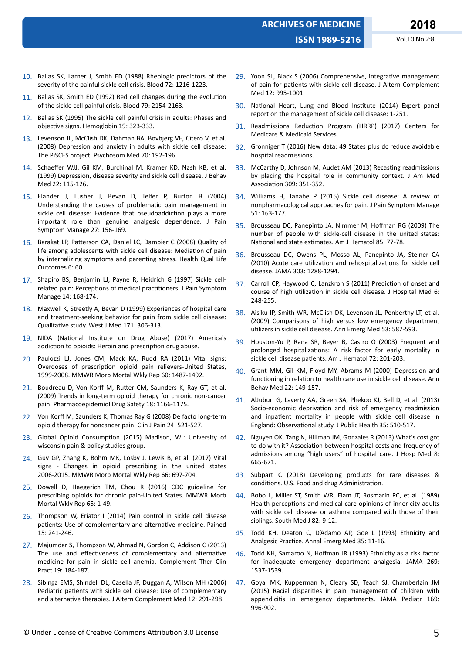- 10. Ballas SK, Larner J, Smith ED (1988) Rheologic predictors of the severity of the painful sickle cell crisis. Blood 72: 1216-1223.
- 11. Ballas SK, Smith ED (1992) Red cell changes during the evolution of the sickle cell painful crisis. Blood 79: 2154-2163.
- 12. Ballas SK (1995) The sickle cell painful crisis in adults: Phases and objective signs. Hemoglobin 19: 323-333.
- 13. Levenson JL, McClish DK, Dahman BA, Bovbjerg VE, Citero V, et al. (2008) Depression and anxiety in adults with sickle cell disease: The PiSCES project. Psychosom Med 70: 192-196.
- 14. Schaeffer WJJ, Gil KM, Burchinal M, Kramer KD, Nash KB, et al. (1999) Depression, disease severity and sickle cell disease. J Behav Med 22: 115-126.
- 15. Elander J, Lusher J, Bevan D, Telfer P, Burton B (2004) Understanding the causes of problematic pain management in sickle cell disease: Evidence that pseudoaddiction plays a more important role than genuine analgesic dependence. J Pain Symptom Manage 27: 156-169.
- 16. Barakat LP, Patterson CA, Daniel LC, Dampier C (2008) Quality of life among adolescents with sickle cell disease: Mediation of pain by internalizing symptoms and parenting stress. Health Qual Life Outcomes 6: 60.
- 17. Shapiro BS, Benjamin LJ, Payne R, Heidrich G (1997) Sickle cellrelated pain: Perceptions of medical practitioners. J Pain Symptom Manage 14: 168-174.
- 18. Maxwell K, Streetly A, Bevan D (1999) Experiences of hospital care and treatment-seeking behavior for pain from sickle cell disease: Qualitative study. West J Med 171: 306-313.
- 19. NIDA (National Institute on Drug Abuse) (2017) America's addiction to opioids: Heroin and prescription drug abuse.
- 20. Paulozzi LJ, Jones CM, Mack KA, Rudd RA (2011) Vital signs: Overdoses of prescription opioid pain relievers-United States, 1999-2008. MMWR Morb Mortal Wkly Rep 60: 1487-1492.
- 21. Boudreau D, Von Korff M, Rutter CM, Saunders K, Ray GT, et al. (2009) Trends in long-term opioid therapy for chronic non-cancer pain. Pharmacoepidemiol Drug Safety 18: 1166-1175.
- 22. Von Korff M, Saunders K, Thomas Ray G (2008) De facto long-term opioid therapy for noncancer pain. Clin J Pain 24: 521-527.
- 23. Global Opioid Consumption (2015) Madison, WI: University of wisconsin pain & policy studies group.
- 24. Guy GP, Zhang K, Bohm MK, Losby J, Lewis B, et al. (2017) Vital signs - Changes in opioid prescribing in the united states 2006-2015. MMWR Morb Mortal Wkly Rep 66: 697-704.
- 25. Dowell D, Haegerich TM, Chou R (2016) CDC guideline for prescribing opioids for chronic pain-United States. MMWR Morb Mortal Wkly Rep 65: 1-49.
- 26. Thompson W, Eriator I (2014) Pain control in sickle cell disease patients: Use of complementary and alternative medicine. Pained 15: 241-246.
- 27. Majumdar S, Thompson W, Ahmad N, Gordon C, Addison C (2013) The use and effectiveness of complementary and alternative medicine for pain in sickle cell anemia. Complement Ther Clin Pract 19: 184-187.
- 28. Sibinga EMS, Shindell DL, Casella JF, Duggan A, Wilson MH (2006) Pediatric patients with sickle cell disease: Use of complementary and alternative therapies. J Altern Complement Med 12: 291-298.
- 29. Yoon SL, Black S (2006) Comprehensive, integrative management of pain for patients with sickle-cell disease. J Altern Complement Med 12: 995-1001.
- 30. National Heart, Lung and Blood Institute (2014) Expert panel report on the management of sickle cell disease: 1-251.
- 31. Readmissions Reduction Program (HRRP) (2017) Centers for Medicare & Medicaid Services.
- 32. Gronniger T (2016) New data: 49 States plus dc reduce avoidable hospital readmissions.
- 33. McCarthy D, Johnson M, Audet AM (2013) Recasting readmissions by placing the hospital role in community context. J Am Med Association 309: 351-352.
- 34. Williams H, Tanabe P (2015) Sickle cell disease: A review of nonpharmacological approaches for pain. J Pain Symptom Manage 51: 163-177.
- 35. Brousseau DC, Panepinto JA, Nimmer M, Hoffman RG (2009) The number of people with sickle-cell disease in the united states: National and state estimates. Am J Hematol 85: 77-78.
- 36. Brousseau DC, Owens PL, Mosso AL, Panepinto JA, Steiner CA (2010) Acute care utilization and rehospitalizations for sickle cell disease. JAMA 303: 1288-1294.
- 37. Carroll CP, Haywood C, Lanzkron S (2011) Prediction of onset and course of high utilization in sickle cell disease. J Hospital Med 6: 248-255.
- 38. Aisiku IP, Smith WR, McClish DK, Levenson JL, Penberthy LT, et al. (2009) Comparisons of high versus low emergency department utilizers in sickle cell disease. Ann Emerg Med 53: 587-593.
- 39. Houston-Yu P, Rana SR, Beyer B, Castro O (2003) Frequent and prolonged hospitalizations: A risk factor for early mortality in sickle cell disease patients. Am J Hematol 72: 201-203.
- 40. Grant MM, Gil KM, Floyd MY, Abrams M (2000) Depression and functioning in relation to health care use in sickle cell disease. Ann Behav Med 22: 149-157.
- 41. AlJuburi G, Laverty AA, Green SA, Phekoo KJ, Bell D, et al. (2013) Socio-economic deprivation and risk of emergency readmission and inpatient mortality in people with sickle cell disease in England: Observational study. J Public Health 35: 510-517.
- 42. Nguyen OK, Tang N, Hillman JM, Gonzales R (2013) What's cost got to do with it? Association between hospital costs and frequency of admissions among "high users" of hospital care. J Hosp Med 8: 665-671.
- 43. Subpart C (2018) Developing products for rare diseases & conditions. U.S. Food and drug Administration.
- 44. Bobo L, Miller ST, Smith WR, Elam JT, Rosmarin PC, et al. (1989) Health perceptions and medical care opinions of inner-city adults with sickle cell disease or asthma compared with those of their siblings. South Med J 82: 9-12.
- 45. Todd KH, Deaton C, D'Adamo AP, Goe L (1993) Ethnicity and Analgesic Practice. Annal Emerg Med 35: 11-16.
- 46. Todd KH, Samaroo N, Hoffman JR (1993) Ethnicity as a risk factor for inadequate emergency department analgesia. JAMA 269: 1537-1539.
- 47. Goyal MK, Kupperman N, Cleary SD, Teach SJ, Chamberlain JM (2015) Racial disparities in pain management of children with appendicitis in emergency departments. JAMA Pediatr 169: 996-902.